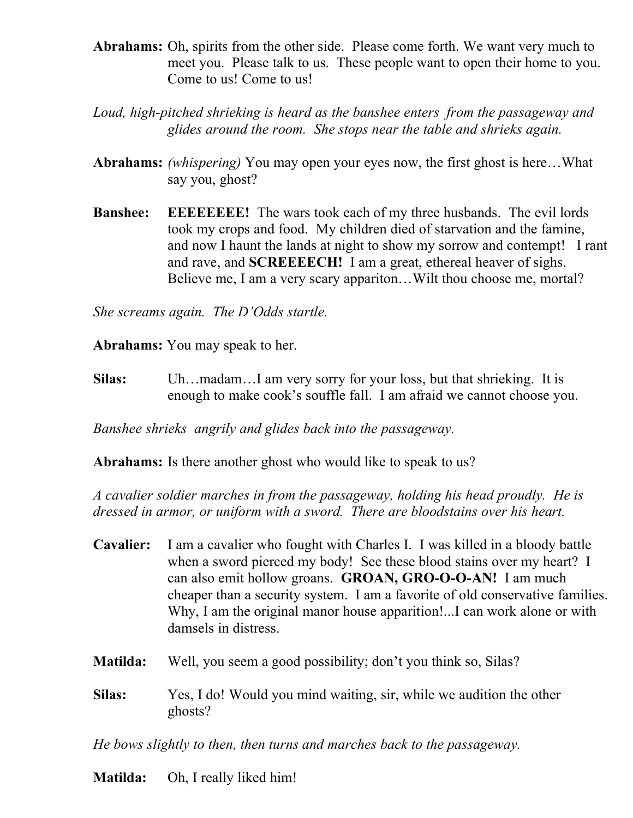- **Abrahams:** Oh, spirits from the other side. Please come forth. We want very much to meet you. Please talk to us. These people want to open their home to you. Come to us! Come to us!
- *Loud, high-pitched shrieking is heard as the banshee enters from the passageway and glides around the room. She stops near the table and shrieks again.*
- **Abrahams:** *(whispering)* You may open your eyes now, the first ghost is here…What say you, ghost?
- **Banshee: EEEEEEEE!** The wars took each of my three husbands. The evil lords took my crops and food. My children died of starvation and the famine, and now I haunt the lands at night to show my sorrow and contempt! I rant and rave, and **SCREEEECH!** I am a great, ethereal heaver of sighs. Believe me, I am a very scary appariton…Wilt thou choose me, mortal?

*She screams again. The D'Odds startle.*

**Abrahams:** You may speak to her.

**Silas:** Uh…madam…I am very sorry for your loss, but that shrieking. It is enough to make cook's souffle fall. I am afraid we cannot choose you.

*Banshee shrieks angrily and glides back into the passageway.*

**Abrahams:** Is there another ghost who would like to speak to us?

*A cavalier soldier marches in from the passageway, holding his head proudly. He is dressed in armor, or uniform with a sword. There are bloodstains over his heart.*

- **Cavalier:** I am a cavalier who fought with Charles I. I was killed in a bloody battle when a sword pierced my body! See these blood stains over my heart? I can also emit hollow groans. **GROAN, GRO-O-O-AN!** I am much cheaper than a security system. I am a favorite of old conservative families. Why, I am the original manor house apparition!...I can work alone or with damsels in distress.
- **Matilda:** Well, you seem a good possibility; don't you think so, Silas?
- **Silas:** Yes, I do! Would you mind waiting, sir, while we audition the other ghosts?

*He bows slightly to then, then turns and marches back to the passageway.*

**Matilda:** Oh, I really liked him!